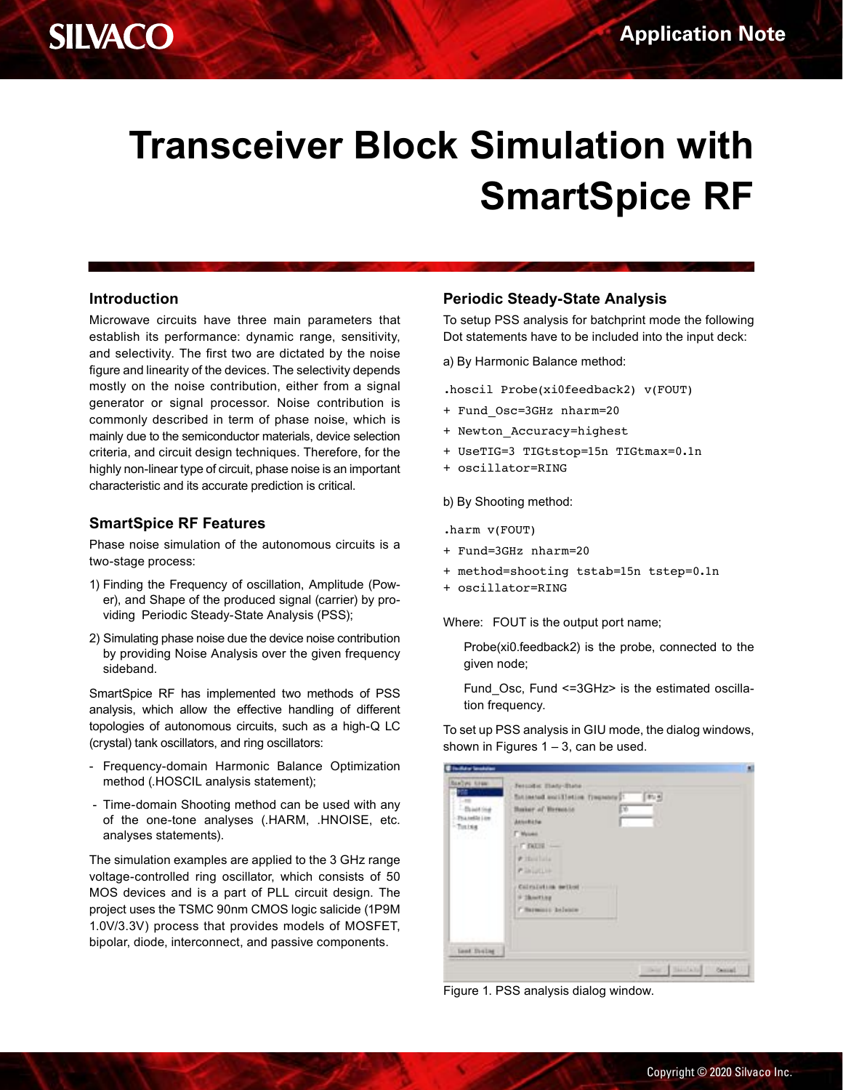# **Transceiver Block Simulation with SmartSpice RF**

### **Introduction**

Microwave circuits have three main parameters that establish its performance: dynamic range, sensitivity, and selectivity. The first two are dictated by the noise figure and linearity of the devices. The selectivity depends mostly on the noise contribution, either from a signal generator or signal processor. Noise contribution is commonly described in term of phase noise, which is mainly due to the semiconductor materials, device selection criteria, and circuit design techniques. Therefore, for the highly non-linear type of circuit, phase noise is an important characteristic and its accurate prediction is critical.

### **SmartSpice RF Features**

Phase noise simulation of the autonomous circuits is a two-stage process:

- 1) Finding the Frequency of oscillation, Amplitude (Power), and Shape of the produced signal (carrier) by providing Periodic Steady-State Analysis (PSS);
- 2) Simulating phase noise due the device noise contribution by providing Noise Analysis over the given frequency sideband.

SmartSpice RF has implemented two methods of PSS analysis, which allow the effective handling of different topologies of autonomous circuits, such as a high-Q LC (crystal) tank oscillators, and ring oscillators:

- Frequency-domain Harmonic Balance Optimization method (.HOSCIL analysis statement);
- Time-domain Shooting method can be used with any of the one-tone analyses (.HARM, .HNOISE, etc. analyses statements).

The simulation examples are applied to the 3 GHz range voltage-controlled ring oscillator, which consists of 50 MOS devices and is a part of PLL circuit design. The project uses the TSMC 90nm CMOS logic salicide (1P9M 1.0V/3.3V) process that provides models of MOSFET, bipolar, diode, interconnect, and passive components.

### **Periodic Steady-State Analysis**

To setup PSS analysis for batchprint mode the following Dot statements have to be included into the input deck:

a) By Harmonic Balance method:

.hoscil Probe(xi0feedback2) v(FOUT)

- + Fund\_Osc=3GHz nharm=20
- + Newton\_Accuracy=highest
- + UseTIG=3 TIGtstop=15n TIGtmax=0.1n
- + oscillator=RING

b) By Shooting method:

.harm v(FOUT)

- + Fund=3GHz nharm=20
- + method=shooting tstab=15n tstep=0.1n
- + oscillator=RING

Where: FOUT is the output port name;

Probe(xi0.feedback2) is the probe, connected to the given node;

Fund Osc, Fund <=3GHz> is the estimated oscillation frequency.

To set up PSS analysis in GIU mode, the dialog windows, shown in Figures  $1 - 3$ , can be used.

| Realist Edgar<br>se:                                    | Jercola: Data-Bane                          |  |
|---------------------------------------------------------|---------------------------------------------|--|
|                                                         | $[37,4]$<br>fotiested solifieties fingeony? |  |
| - Based this<br>Phanelie Low<br>-Tours<br><b>STARTS</b> | Γö<br>Basker of Bernosia                    |  |
|                                                         | Annehille<br>u.                             |  |
|                                                         | <b>T</b> Myseed                             |  |
|                                                         | $-7000 -$                                   |  |
|                                                         | $F$ Hollisia                                |  |
|                                                         | <b>P.Invalley</b>                           |  |
|                                                         | Calrainting serious                         |  |
|                                                         | # Sheeting                                  |  |
|                                                         | C Sarmonto Infecto                          |  |
|                                                         |                                             |  |
|                                                         |                                             |  |
|                                                         |                                             |  |
| last Daily                                              |                                             |  |

Figure 1. PSS analysis dialog window.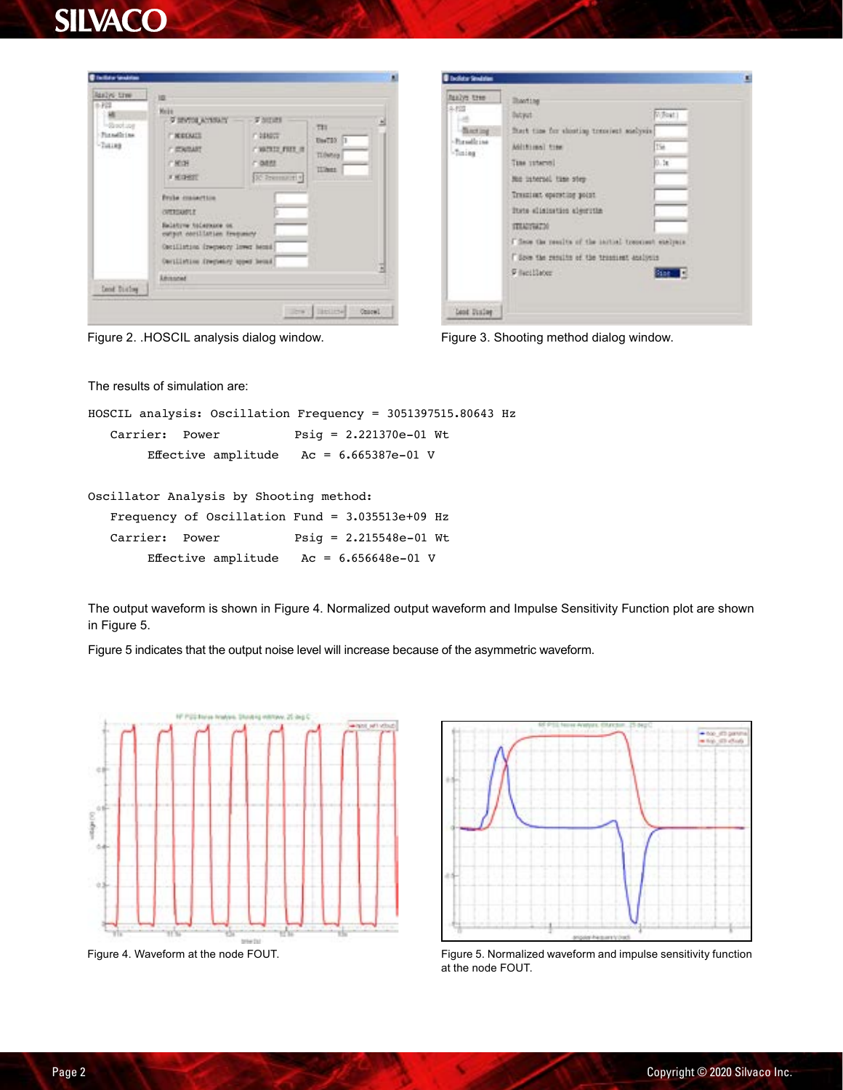# **SILVACO**



| <b>Biolidar Smittles</b>                                     |                                                                                                                                                                                                                                                                                                                                                                                            | п |
|--------------------------------------------------------------|--------------------------------------------------------------------------------------------------------------------------------------------------------------------------------------------------------------------------------------------------------------------------------------------------------------------------------------------------------------------------------------------|---|
| health evilage<br>多控制<br>-flacting<br>-Basellzine<br>-Tining | <b>Banting</b><br><b>Notice</b><br>Datyat<br>finit the for shooting trensiers analysis.<br>156<br>Additional time<br>0.3x<br>Tase untervol<br>Mad interned time over<br>Trauminut operating point.<br>ltris slisinstics algorithm<br><b>ITALIANTM</b><br>I fless the results of the initial treoniset eachers<br>Some the results of the transient analysis<br><b>Filecillates</b><br>Star | н |
| Lent Disley                                                  |                                                                                                                                                                                                                                                                                                                                                                                            |   |

Figure 2. .HOSCIL analysis dialog window. Figure 3. Shooting method dialog window.

The results of simulation are:

HOSCIL analysis: Oscillation Frequency = 3051397515.80643 Hz Carrier: Power Psig = 2.221370e-01 Wt Effective amplitude  $AC = 6.665387e-01$  V

Oscillator Analysis by Shooting method:

|                | Frequency of Oscillation Fund = $3.035513e+09$ Hz |                          |  |
|----------------|---------------------------------------------------|--------------------------|--|
| Carrier: Power |                                                   | $Psiq = 2.215548e-01$ Wt |  |
|                | Effective amplitude $Ac = 6.656648e-01$ V         |                          |  |

The output waveform is shown in Figure 4. Normalized output waveform and Impulse Sensitivity Function plot are shown in Figure 5.

Figure 5 indicates that the output noise level will increase because of the asymmetric waveform.





Figure 4. Waveform at the node FOUT. The note of Fournaired waveform and impulse sensitivity function at the node FOUT.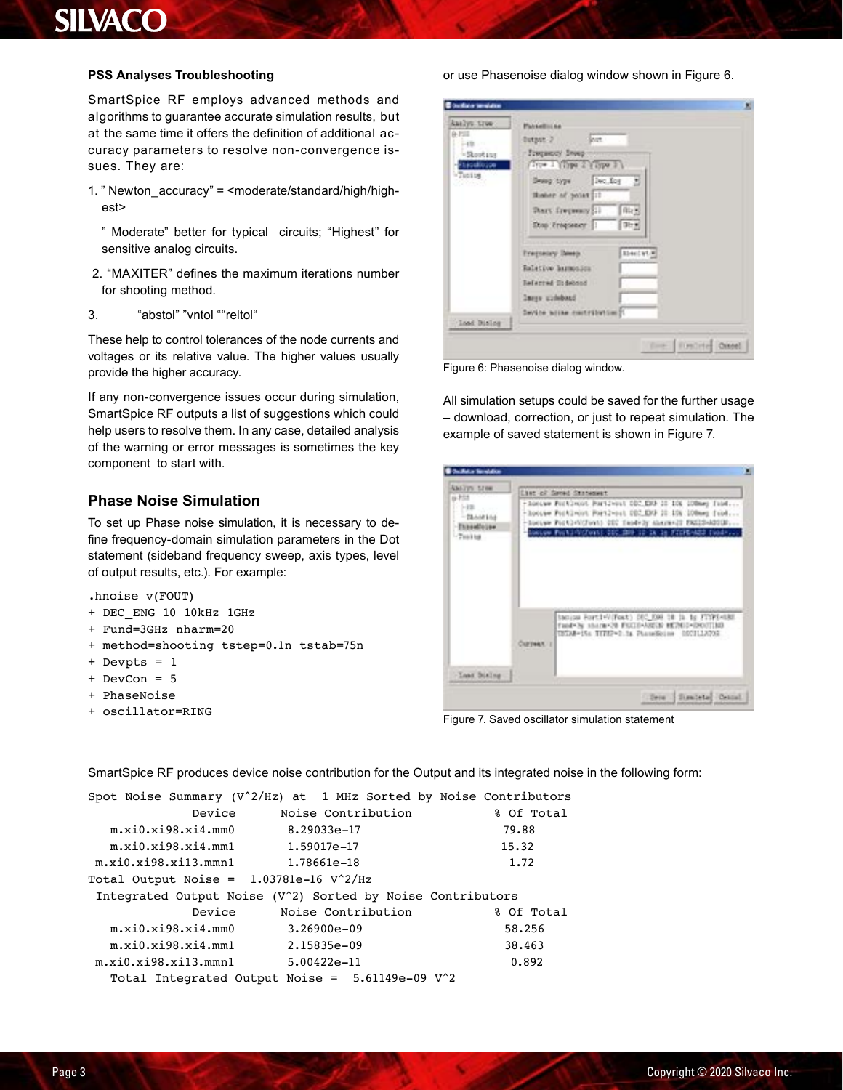# **SILVACO**

#### **PSS Analyses Troubleshooting**

SmartSpice RF employs advanced methods and algorithms to guarantee accurate simulation results, but at the same time it offers the definition of additional accuracy parameters to resolve non-convergence issues. They are:

- 1. " Newton\_accuracy" = <moderate/standard/high/highest>
	- " Moderate" better for typical circuits; "Highest" for sensitive analog circuits.
- 2. "MAXITER" defines the maximum iterations number for shooting method.
- 3. "abstol" "vntol ""reltol"

These help to control tolerances of the node currents and voltages or its relative value. The higher values usually provide the higher accuracy.

If any non-convergence issues occur during simulation, SmartSpice RF outputs a list of suggestions which could help users to resolve them. In any case, detailed analysis of the warning or error messages is sometimes the key component to start with.

# **Phase Noise Simulation**

To set up Phase noise simulation, it is necessary to define frequency-domain simulation parameters in the Dot statement (sideband frequency sweep, axis types, level of output results, etc.). For example:

.hnoise v(FOUT)

- + DEC\_ENG 10 10kHz 1GHz
- + Fund=3GHz nharm=20
- + method=shooting tstep=0.1n tstab=75n
- + Devpts = 1
- + DevCon = 5
- + PhaseNoise
- + oscillator=RING

#### or use Phasenoise dialog window shown in Figure 6.



Figure 6: Phasenoise dialog window.

All simulation setups could be saved for the further usage – download, correction, or just to repeat simulation. The example of saved statement is shown in Figure 7.

| ANAlyst Steel<br>6.753                                   | <b>Clar of Smad Statement</b>                                                                                                                                                                                                        |
|----------------------------------------------------------|--------------------------------------------------------------------------------------------------------------------------------------------------------------------------------------------------------------------------------------|
| $-121$<br>$-73.448144$<br><b>TheseMouse</b><br>$-769168$ | - Ronswe Fockbroot PortSvout COC.ERP 20 106 (OBorg Tabl<br>- hoove Fockinon Portivost 002.DV3 22-106 100mmg face<br>-locuum Port24X(Font) DDC TeodyJy shermx-22 EXC23-6001B<br>Locaux Posts (Clost) 212, 200 12 14 15 FIER-N22 (pad- |
|                                                          | tanism RortleV(Foxt) DEC E08 18 15 15 FTYPE-USE<br>fand Ny shara-20 FEITD-AREES HETMID-DOUTIME<br>TETAB=15s TITEP=0.1s PhoneHoine 0003113795                                                                                         |

Figure 7. Saved oscillator simulation statement

SmartSpice RF produces device noise contribution for the Output and its integrated noise in the following form:

|                                                       |        |                                                                        | Spot Noise Summary $(V^2/Hz)$ at 1 MHz Sorted by Noise Contributors |
|-------------------------------------------------------|--------|------------------------------------------------------------------------|---------------------------------------------------------------------|
|                                                       | Device | Noise Contribution                                                     | % Of Total                                                          |
| m.xi0.xi98.xi4.mm0                                    |        | 8.29033e-17                                                            | 79.88                                                               |
| m.xi0.xi98.xi4.mm1    1.59017e-17                     |        |                                                                        | 15.32                                                               |
|                                                       |        |                                                                        | 1.72                                                                |
| Total Output Noise = $1.03781e-16$ V <sup>2</sup> /Hz |        |                                                                        |                                                                     |
|                                                       |        | Integrated Output Noise (V <sup>2</sup> ) Sorted by Noise Contributors |                                                                     |
|                                                       | Device | Noise Contribution                                                     | % Of Total                                                          |
| $m.xi0.xi98.xi4.\texttt{mm0}$                         |        | $3.26900e - 09$                                                        | 58.256                                                              |
| $m.xi0.xi98.xi4.mm1$ 2.15835e-09                      |        |                                                                        | 38.463                                                              |
| $m.xi0.xi98.xi13.mmn1$ 5.00422e-11                    |        |                                                                        | 0.892                                                               |
|                                                       |        | Total Integrated Output Noise = $5.61149e-09$ V <sup>2</sup>           |                                                                     |